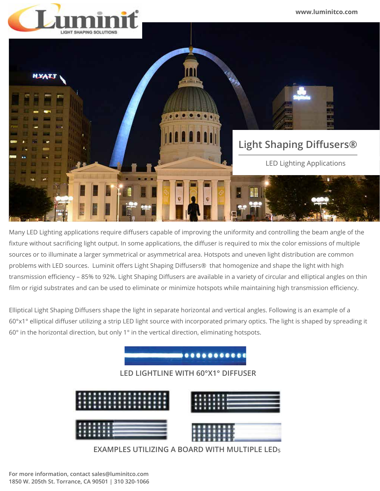

Many LED Lighting applications require diffusers capable of improving the uniformity and controlling the beam angle of the fixture without sacrificing light output. In some applications, the diffuser is required to mix the color emissions of multiple sources or to illuminate a larger symmetrical or asymmetrical area. Hotspots and uneven light distribution are common problems with LED sources. Luminit offers Light Shaping Diffusers® that homogenize and shape the light with high transmission efficiency – 85% to 92%. Light Shaping Diffusers are available in a variety of circular and elliptical angles on thin film or rigid substrates and can be used to eliminate or minimize hotspots while maintaining high transmission efficiency.

Elliptical Light Shaping Diffusers shape the light in separate horizontal and vertical angles. Following is an example of a 60°x1° elliptical diffuser utilizing a strip LED light source with incorporated primary optics. The light is shaped by spreading it 60° in the horizontal direction, but only 1° in the vertical direction, eliminating hotspots.



**EXAMPLES UTILIZING A BOARD WITH MULTIPLE LEDS**